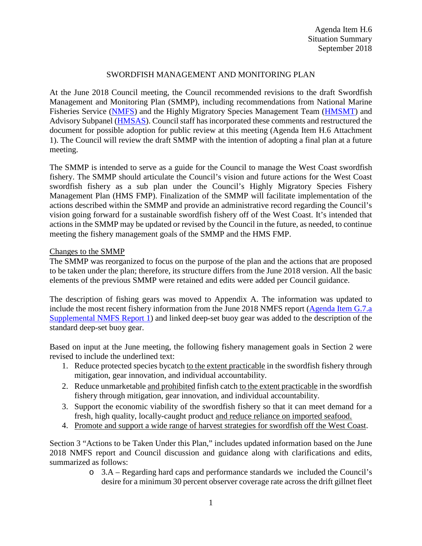# SWORDFISH MANAGEMENT AND MONITORING PLAN

At the June 2018 Council meeting, the Council recommended revisions to the draft Swordfish Management and Monitoring Plan (SMMP), including recommendations from National Marine Fisheries Service [\(NMFS\)](https://www.pcouncil.org/wp-content/uploads/2018/06/G7a_Supp_NMFS_Rpt1_SMMP_IncrMonitoring_JUN2018BB.pdf) and the Highly Migratory Species Management Team [\(HMSMT\)](https://www.pcouncil.org/wp-content/uploads/2018/06/G7a_Supp_HMSMT_Rpt1_JUN2018BB.pdf) and Advisory Subpanel [\(HMSAS\)](https://www.pcouncil.org/wp-content/uploads/2018/06/G7a_Supp_HMSAS_Rpt1_SMMP_JUN2018BB.pdf). Council staff has incorporated these comments and restructured the document for possible adoption for public review at this meeting (Agenda Item H.6 Attachment 1). The Council will review the draft SMMP with the intention of adopting a final plan at a future meeting.

The SMMP is intended to serve as a guide for the Council to manage the West Coast swordfish fishery. The SMMP should articulate the Council's vision and future actions for the West Coast swordfish fishery as a sub plan under the Council's Highly Migratory Species Fishery Management Plan (HMS FMP). Finalization of the SMMP will facilitate implementation of the actions described within the SMMP and provide an administrative record regarding the Council's vision going forward for a sustainable swordfish fishery off of the West Coast. It's intended that actions in the SMMP may be updated or revised by the Council in the future, as needed, to continue meeting the fishery management goals of the SMMP and the HMS FMP.

## Changes to the SMMP

The SMMP was reorganized to focus on the purpose of the plan and the actions that are proposed to be taken under the plan; therefore, its structure differs from the June 2018 version. All the basic elements of the previous SMMP were retained and edits were added per Council guidance.

The description of fishing gears was moved to Appendix A. The information was updated to include the most recent fishery information from the June 2018 NMFS report [\(Agenda Item G.7.a](https://www.pcouncil.org/wp-content/uploads/2018/06/G7a_Supp_NMFS_Rpt1_SMMP_IncrMonitoring_JUN2018BB.pdf)  [Supplemental NMFS Report 1\)](https://www.pcouncil.org/wp-content/uploads/2018/06/G7a_Supp_NMFS_Rpt1_SMMP_IncrMonitoring_JUN2018BB.pdf) and linked deep-set buoy gear was added to the description of the standard deep-set buoy gear.

Based on input at the June meeting, the following fishery management goals in Section 2 were revised to include the underlined text:

- 1. Reduce protected species bycatch to the extent practicable in the swordfish fishery through mitigation, gear innovation, and individual accountability.
- 2. Reduce unmarketable and prohibited finfish catch to the extent practicable in the swordfish fishery through mitigation, gear innovation, and individual accountability.
- 3. Support the economic viability of the swordfish fishery so that it can meet demand for a fresh, high quality, locally-caught product and reduce reliance on imported seafood.
- 4. Promote and support a wide range of harvest strategies for swordfish off the West Coast.

Section 3 "Actions to be Taken Under this Plan," includes updated information based on the June 2018 NMFS report and Council discussion and guidance along with clarifications and edits, summarized as follows:

> o 3.A – Regarding hard caps and performance standards we included the Council's desire for a minimum 30 percent observer coverage rate across the drift gillnet fleet